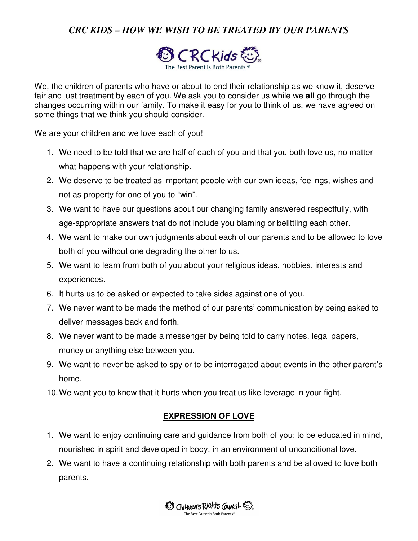# *CRC KIDS – HOW WE WISH TO BE TREATED BY OUR PARENTS*



We, the children of parents who have or about to end their relationship as we know it, deserve fair and just treatment by each of you. We ask you to consider us while we **all** go through the changes occurring within our family. To make it easy for you to think of us, we have agreed on some things that we think you should consider.

We are your children and we love each of you!

- 1. We need to be told that we are half of each of you and that you both love us, no matter what happens with your relationship.
- 2. We deserve to be treated as important people with our own ideas, feelings, wishes and not as property for one of you to "win".
- 3. We want to have our questions about our changing family answered respectfully, with age-appropriate answers that do not include you blaming or belittling each other.
- 4. We want to make our own judgments about each of our parents and to be allowed to love both of you without one degrading the other to us.
- 5. We want to learn from both of you about your religious ideas, hobbies, interests and experiences.
- 6. It hurts us to be asked or expected to take sides against one of you.
- 7. We never want to be made the method of our parents' communication by being asked to deliver messages back and forth.
- 8. We never want to be made a messenger by being told to carry notes, legal papers, money or anything else between you.
- 9. We want to never be asked to spy or to be interrogated about events in the other parent's home.
- 10. We want you to know that it hurts when you treat us like leverage in your fight.

### **EXPRESSION OF LOVE**

- 1. We want to enjoy continuing care and guidance from both of you; to be educated in mind, nourished in spirit and developed in body, in an environment of unconditional love.
- 2. We want to have a continuing relationship with both parents and be allowed to love both parents.

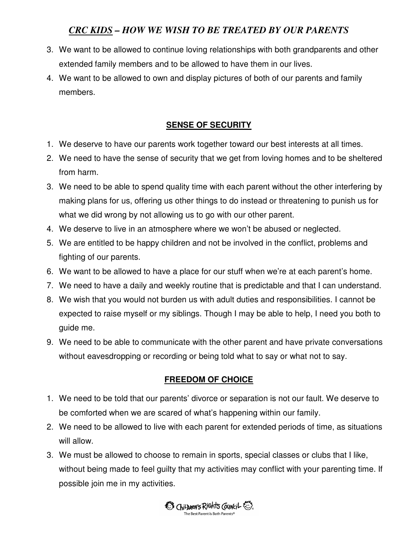# *CRC KIDS – HOW WE WISH TO BE TREATED BY OUR PARENTS*

- 3. We want to be allowed to continue loving relationships with both grandparents and other extended family members and to be allowed to have them in our lives.
- 4. We want to be allowed to own and display pictures of both of our parents and family members.

## **SENSE OF SECURITY**

- 1. We deserve to have our parents work together toward our best interests at all times.
- 2. We need to have the sense of security that we get from loving homes and to be sheltered from harm.
- 3. We need to be able to spend quality time with each parent without the other interfering by making plans for us, offering us other things to do instead or threatening to punish us for what we did wrong by not allowing us to go with our other parent.
- 4. We deserve to live in an atmosphere where we won't be abused or neglected.
- 5. We are entitled to be happy children and not be involved in the conflict, problems and fighting of our parents.
- 6. We want to be allowed to have a place for our stuff when we're at each parent's home.
- 7. We need to have a daily and weekly routine that is predictable and that I can understand.
- 8. We wish that you would not burden us with adult duties and responsibilities. I cannot be expected to raise myself or my siblings. Though I may be able to help, I need you both to guide me.
- 9. We need to be able to communicate with the other parent and have private conversations without eavesdropping or recording or being told what to say or what not to say.

### **FREEDOM OF CHOICE**

- 1. We need to be told that our parents' divorce or separation is not our fault. We deserve to be comforted when we are scared of what's happening within our family.
- 2. We need to be allowed to live with each parent for extended periods of time, as situations will allow.
- 3. We must be allowed to choose to remain in sports, special classes or clubs that I like, without being made to feel guilty that my activities may conflict with your parenting time. If possible join me in my activities.